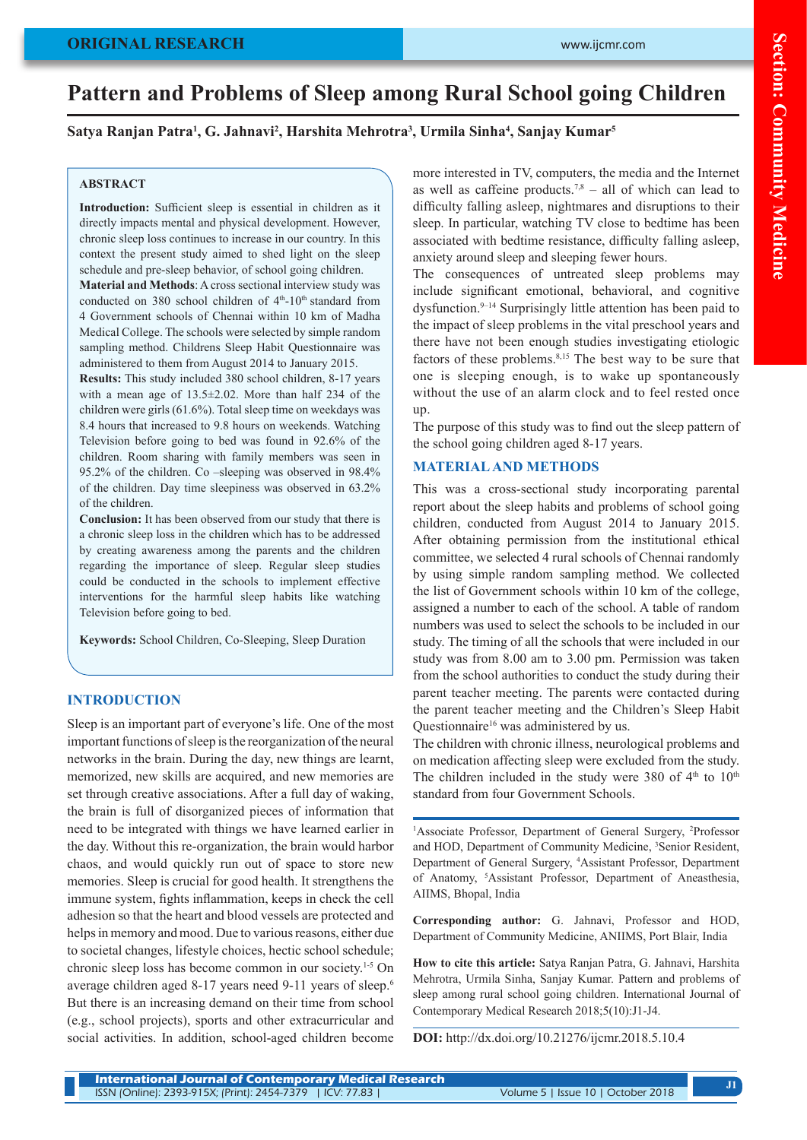# **ORIGINAL RESEARCH**

# **Pattern and Problems of Sleep among Rural School going Children**

# **Satya Ranjan Patra1 , G. Jahnavi2 , Harshita Mehrotra3 , Urmila Sinha4 , Sanjay Kumar5**

## **ABSTRACT**

Introduction: Sufficient sleep is essential in children as it directly impacts mental and physical development. However, chronic sleep loss continues to increase in our country. In this context the present study aimed to shed light on the sleep schedule and pre-sleep behavior, of school going children.

**Material and Methods**: A cross sectional interview study was conducted on 380 school children of  $4<sup>th</sup>$ -10<sup>th</sup> standard from 4 Government schools of Chennai within 10 km of Madha Medical College. The schools were selected by simple random sampling method. Childrens Sleep Habit Questionnaire was administered to them from August 2014 to January 2015.

**Results:** This study included 380 school children, 8-17 years with a mean age of 13.5±2.02. More than half 234 of the children were girls (61.6%). Total sleep time on weekdays was 8.4 hours that increased to 9.8 hours on weekends. Watching Television before going to bed was found in 92.6% of the children. Room sharing with family members was seen in 95.2% of the children. Co –sleeping was observed in 98.4% of the children. Day time sleepiness was observed in 63.2% of the children.

**Conclusion:** It has been observed from our study that there is a chronic sleep loss in the children which has to be addressed by creating awareness among the parents and the children regarding the importance of sleep. Regular sleep studies could be conducted in the schools to implement effective interventions for the harmful sleep habits like watching Television before going to bed.

**Keywords:** School Children, Co-Sleeping, Sleep Duration

## **INTRODUCTION**

Sleep is an important part of everyone's life. One of the most important functions of sleep is the reorganization of the neural networks in the brain. During the day, new things are learnt, memorized, new skills are acquired, and new memories are set through creative associations. After a full day of waking, the brain is full of disorganized pieces of information that need to be integrated with things we have learned earlier in the day. Without this re-organization, the brain would harbor chaos, and would quickly run out of space to store new memories. Sleep is crucial for good health. It strengthens the immune system, fights inflammation, keeps in check the cell adhesion so that the heart and blood vessels are protected and helps in memory and mood. Due to various reasons, either due to societal changes, lifestyle choices, hectic school schedule; chronic sleep loss has become common in our society.1-5 On average children aged 8-17 years need 9-11 years of sleep.6 But there is an increasing demand on their time from school (e.g., school projects), sports and other extracurricular and social activities. In addition, school-aged children become

more interested in TV, computers, the media and the Internet as well as caffeine products.<sup>7,8</sup> – all of which can lead to difficulty falling asleep, nightmares and disruptions to their sleep. In particular, watching TV close to bedtime has been associated with bedtime resistance, difficulty falling asleep, anxiety around sleep and sleeping fewer hours.

The consequences of untreated sleep problems may include significant emotional, behavioral, and cognitive dysfunction.9–14 Surprisingly little attention has been paid to the impact of sleep problems in the vital preschool years and there have not been enough studies investigating etiologic factors of these problems.8,15 The best way to be sure that one is sleeping enough, is to wake up spontaneously without the use of an alarm clock and to feel rested once up.

The purpose of this study was to find out the sleep pattern of the school going children aged 8-17 years.

#### **MATERIAL AND METHODS**

This was a cross-sectional study incorporating parental report about the sleep habits and problems of school going children, conducted from August 2014 to January 2015. After obtaining permission from the institutional ethical committee, we selected 4 rural schools of Chennai randomly by using simple random sampling method. We collected the list of Government schools within 10 km of the college, assigned a number to each of the school. A table of random numbers was used to select the schools to be included in our study. The timing of all the schools that were included in our study was from 8.00 am to 3.00 pm. Permission was taken from the school authorities to conduct the study during their parent teacher meeting. The parents were contacted during the parent teacher meeting and the Children's Sleep Habit Questionnaire<sup>16</sup> was administered by us.

The children with chronic illness, neurological problems and on medication affecting sleep were excluded from the study. The children included in the study were 380 of  $4<sup>th</sup>$  to  $10<sup>th</sup>$ standard from four Government Schools.

<sup>1</sup>Associate Professor, Department of General Surgery, <sup>2</sup>Professor and HOD, Department of Community Medicine, <sup>3</sup>Senior Resident, Department of General Surgery, 4 Assistant Professor, Department of Anatomy, 5 Assistant Professor, Department of Aneasthesia, AIIMS, Bhopal, India

**Corresponding author:** G. Jahnavi, Professor and HOD, Department of Community Medicine, ANIIMS, Port Blair, India

**How to cite this article:** Satya Ranjan Patra, G. Jahnavi, Harshita Mehrotra, Urmila Sinha, Sanjay Kumar. Pattern and problems of sleep among rural school going children. International Journal of Contemporary Medical Research 2018;5(10):J1-J4.

**DOI:** http://dx.doi.org/10.21276/ijcmr.2018.5.10.4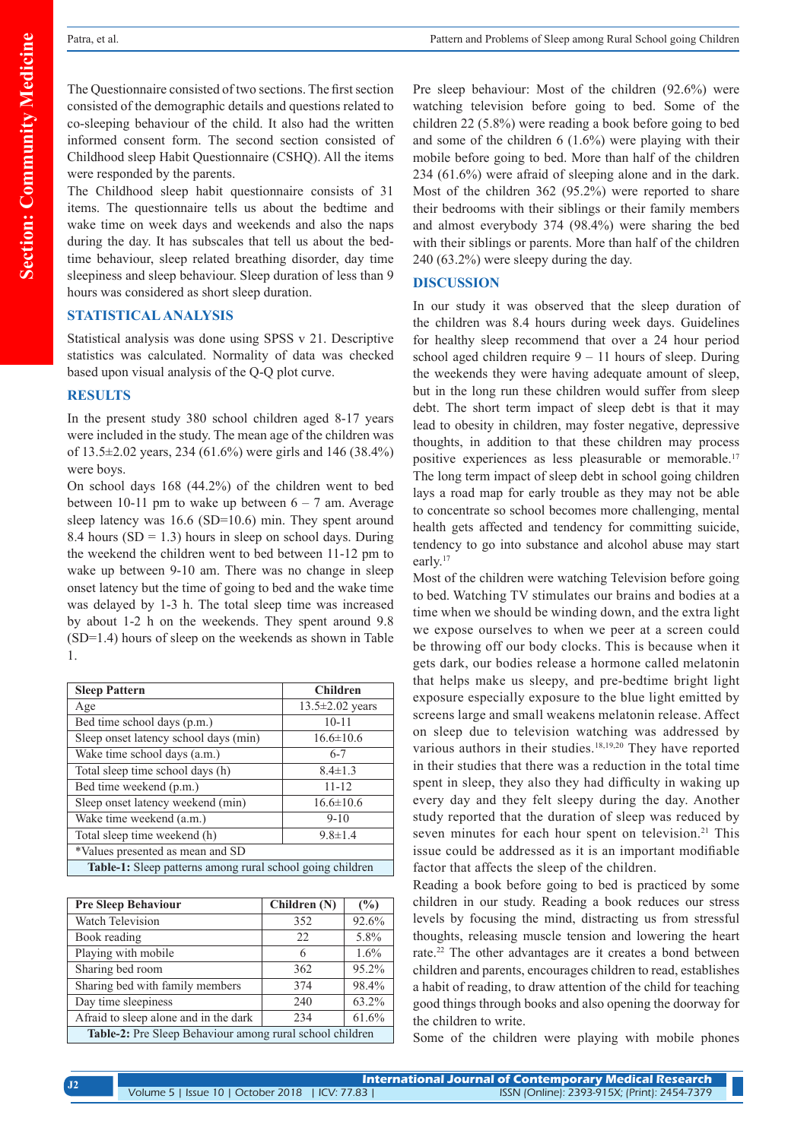The Questionnaire consisted of two sections. The first section consisted of the demographic details and questions related to co-sleeping behaviour of the child. It also had the written informed consent form. The second section consisted of Childhood sleep Habit Questionnaire (CSHQ). All the items were responded by the parents.

The Childhood sleep habit questionnaire consists of 31 items. The questionnaire tells us about the bedtime and wake time on week days and weekends and also the naps during the day. It has subscales that tell us about the bedtime behaviour, sleep related breathing disorder, day time sleepiness and sleep behaviour. Sleep duration of less than 9 hours was considered as short sleep duration.

## **STATISTICAL ANALYSIS**

Statistical analysis was done using SPSS v 21. Descriptive statistics was calculated. Normality of data was checked based upon visual analysis of the Q-Q plot curve.

### **RESULTS**

In the present study 380 school children aged 8-17 years were included in the study. The mean age of the children was of 13.5±2.02 years, 234 (61.6%) were girls and 146 (38.4%) were boys.

On school days 168 (44.2%) of the children went to bed between 10-11 pm to wake up between  $6 - 7$  am. Average sleep latency was 16.6 (SD=10.6) min. They spent around 8.4 hours  $(SD = 1.3)$  hours in sleep on school days. During the weekend the children went to bed between 11-12 pm to wake up between 9-10 am. There was no change in sleep onset latency but the time of going to bed and the wake time was delayed by 1-3 h. The total sleep time was increased by about 1-2 h on the weekends. They spent around 9.8 (SD=1.4) hours of sleep on the weekends as shown in Table 1.

| <b>Sleep Pattern</b>                                             | <b>Children</b> |  |
|------------------------------------------------------------------|-----------------|--|
| Age                                                              | 13.5±2.02 years |  |
| Bed time school days (p.m.)                                      | $10 - 11$       |  |
| Sleep onset latency school days (min)                            | $16.6 \pm 10.6$ |  |
| Wake time school days (a.m.)                                     | $6 - 7$         |  |
| Total sleep time school days (h)                                 | $8.4 \pm 1.3$   |  |
| Bed time weekend (p.m.)                                          | $11 - 12$       |  |
| Sleep onset latency weekend (min)                                | $16.6 \pm 10.6$ |  |
| Wake time weekend (a.m.)                                         | $9 - 10$        |  |
| Total sleep time weekend (h)                                     | $9.8 \pm 1.4$   |  |
| *Values presented as mean and SD                                 |                 |  |
| <b>Table-1:</b> Sleep patterns among rural school going children |                 |  |

| <b>Pre Sleep Behaviour</b>                               | Children (N) | (%)   |  |
|----------------------------------------------------------|--------------|-------|--|
| Watch Television                                         | 352          | 92.6% |  |
| Book reading                                             | 22           | 5.8%  |  |
| Playing with mobile                                      | 6            | 1.6%  |  |
| Sharing bed room                                         | 362          | 95.2% |  |
| Sharing bed with family members                          | 374          | 98.4% |  |
| Day time sleepiness                                      | 240          | 63.2% |  |
| Afraid to sleep alone and in the dark                    | 234          | 61.6% |  |
| Table-2: Pre Sleep Behaviour among rural school children |              |       |  |

Pre sleep behaviour: Most of the children (92.6%) were watching television before going to bed. Some of the children 22 (5.8%) were reading a book before going to bed and some of the children 6 (1.6%) were playing with their mobile before going to bed. More than half of the children 234 (61.6%) were afraid of sleeping alone and in the dark. Most of the children 362 (95.2%) were reported to share their bedrooms with their siblings or their family members and almost everybody 374 (98.4%) were sharing the bed with their siblings or parents. More than half of the children 240 (63.2%) were sleepy during the day.

## **DISCUSSION**

In our study it was observed that the sleep duration of the children was 8.4 hours during week days. Guidelines for healthy sleep recommend that over a 24 hour period school aged children require  $9 - 11$  hours of sleep. During the weekends they were having adequate amount of sleep, but in the long run these children would suffer from sleep debt. The short term impact of sleep debt is that it may lead to obesity in children, may foster negative, depressive thoughts, in addition to that these children may process positive experiences as less pleasurable or memorable.<sup>17</sup> The long term impact of sleep debt in school going children lays a road map for early trouble as they may not be able to concentrate so school becomes more challenging, mental health gets affected and tendency for committing suicide, tendency to go into substance and alcohol abuse may start early.17

Most of the children were watching Television before going to bed. Watching TV stimulates our brains and bodies at a time when we should be winding down, and the extra light we expose ourselves to when we peer at a screen could be throwing off our body clocks. This is because when it gets dark, our bodies release a hormone called melatonin that helps make us sleepy, and pre-bedtime bright light exposure especially exposure to the blue light emitted by screens large and small weakens melatonin release. Affect on sleep due to television watching was addressed by various authors in their studies.<sup>18,19,20</sup> They have reported in their studies that there was a reduction in the total time spent in sleep, they also they had difficulty in waking up every day and they felt sleepy during the day. Another study reported that the duration of sleep was reduced by seven minutes for each hour spent on television.<sup>21</sup> This issue could be addressed as it is an important modifiable factor that affects the sleep of the children.

Reading a book before going to bed is practiced by some children in our study. Reading a book reduces our stress levels by focusing the mind, distracting us from stressful thoughts, releasing muscle tension and lowering the heart rate.22 The other advantages are it creates a bond between children and parents, encourages children to read, establishes a habit of reading, to draw attention of the child for teaching good things through books and also opening the doorway for the children to write.

Some of the children were playing with mobile phones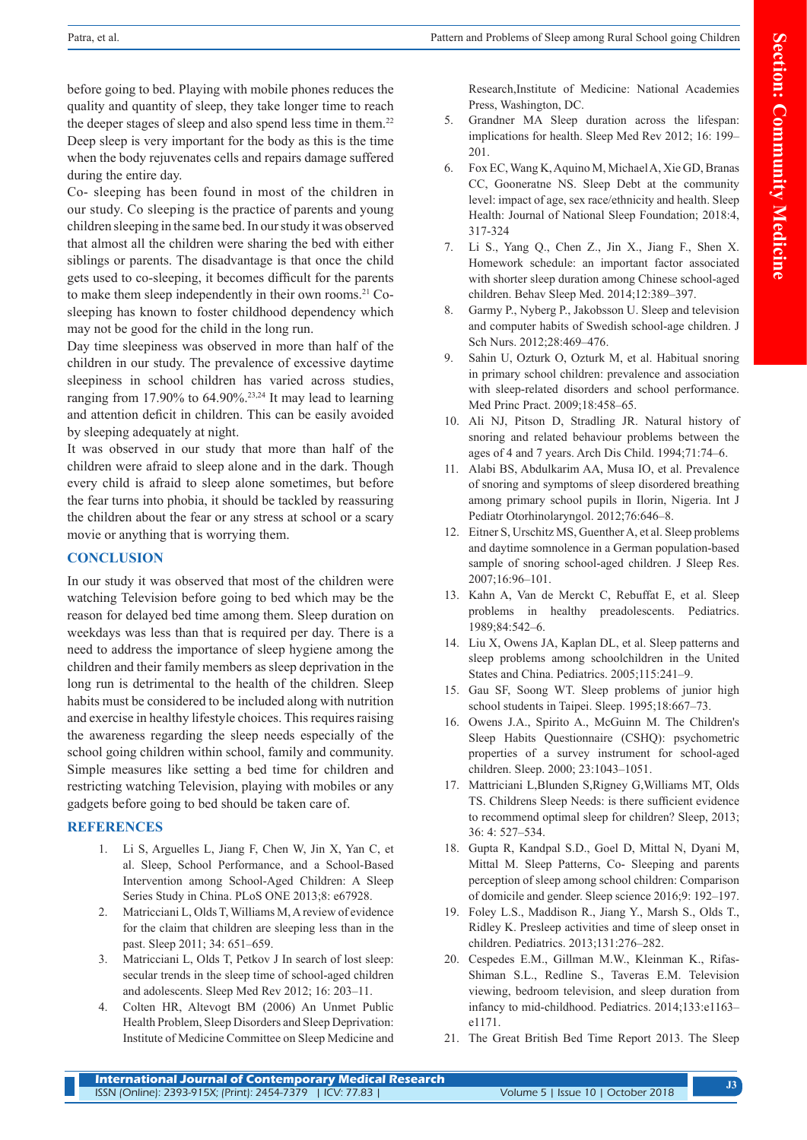before going to bed. Playing with mobile phones reduces the quality and quantity of sleep, they take longer time to reach the deeper stages of sleep and also spend less time in them.<sup>22</sup> Deep sleep is very important for the body as this is the time when the body rejuvenates cells and repairs damage suffered during the entire day.

Co- sleeping has been found in most of the children in our study. Co sleeping is the practice of parents and young children sleeping in the same bed. In our study it was observed that almost all the children were sharing the bed with either siblings or parents. The disadvantage is that once the child gets used to co-sleeping, it becomes difficult for the parents to make them sleep independently in their own rooms.<sup>21</sup> Cosleeping has known to foster childhood dependency which may not be good for the child in the long run.

Day time sleepiness was observed in more than half of the children in our study. The prevalence of excessive daytime sleepiness in school children has varied across studies, ranging from 17.90% to  $64.90\%$ .<sup>23,24</sup> It may lead to learning and attention deficit in children. This can be easily avoided by sleeping adequately at night.

It was observed in our study that more than half of the children were afraid to sleep alone and in the dark. Though every child is afraid to sleep alone sometimes, but before the fear turns into phobia, it should be tackled by reassuring the children about the fear or any stress at school or a scary movie or anything that is worrying them.

# **CONCLUSION**

In our study it was observed that most of the children were watching Television before going to bed which may be the reason for delayed bed time among them. Sleep duration on weekdays was less than that is required per day. There is a need to address the importance of sleep hygiene among the children and their family members as sleep deprivation in the long run is detrimental to the health of the children. Sleep habits must be considered to be included along with nutrition and exercise in healthy lifestyle choices. This requires raising the awareness regarding the sleep needs especially of the school going children within school, family and community. Simple measures like setting a bed time for children and restricting watching Television, playing with mobiles or any gadgets before going to bed should be taken care of.

# **REFERENCES**

- 1. Li S, Arguelles L, Jiang F, Chen W, Jin X, Yan C, et al. Sleep, School Performance, and a School-Based Intervention among School-Aged Children: A Sleep Series Study in China. PLoS ONE 2013;8: e67928.
- 2. Matricciani L, Olds T, Williams M, A review of evidence for the claim that children are sleeping less than in the past. Sleep 2011; 34: 651–659.
- 3. Matricciani L, Olds T, Petkov J In search of lost sleep: secular trends in the sleep time of school-aged children and adolescents. Sleep Med Rev 2012; 16: 203–11.
- 4. Colten HR, Altevogt BM (2006) An Unmet Public Health Problem, Sleep Disorders and Sleep Deprivation: Institute of Medicine Committee on Sleep Medicine and

Research,Institute of Medicine: National Academies Press, Washington, DC.

- 5. Grandner MA Sleep duration across the lifespan: implications for health. Sleep Med Rev 2012; 16: 199– 201.
- 6. Fox EC, Wang K, Aquino M, Michael A, Xie GD, Branas CC, Gooneratne NS. Sleep Debt at the community level: impact of age, sex race/ethnicity and health. Sleep Health: Journal of National Sleep Foundation; 2018:4, 317-324
- 7. Li S., Yang Q., Chen Z., Jin X., Jiang F., Shen X. Homework schedule: an important factor associated with shorter sleep duration among Chinese school-aged children. Behav Sleep Med. 2014;12:389–397.
- 8. Garmy P., Nyberg P., Jakobsson U. Sleep and television and computer habits of Swedish school-age children. J Sch Nurs. 2012;28:469–476.
- 9. Sahin U, Ozturk O, Ozturk M, et al. Habitual snoring in primary school children: prevalence and association with sleep-related disorders and school performance. Med Princ Pract. 2009;18:458–65.
- 10. Ali NJ, Pitson D, Stradling JR. Natural history of snoring and related behaviour problems between the ages of 4 and 7 years. Arch Dis Child. 1994;71:74–6.
- 11. Alabi BS, Abdulkarim AA, Musa IO, et al. Prevalence of snoring and symptoms of sleep disordered breathing among primary school pupils in Ilorin, Nigeria. Int J Pediatr Otorhinolaryngol. 2012;76:646–8.
- 12. Eitner S, Urschitz MS, Guenther A, et al. Sleep problems and daytime somnolence in a German population-based sample of snoring school-aged children. J Sleep Res. 2007;16:96–101.
- 13. Kahn A, Van de Merckt C, Rebuffat E, et al. Sleep problems in healthy preadolescents. Pediatrics. 1989;84:542–6.
- 14. Liu X, Owens JA, Kaplan DL, et al. Sleep patterns and sleep problems among schoolchildren in the United States and China. Pediatrics. 2005;115:241–9.
- 15. Gau SF, Soong WT. Sleep problems of junior high school students in Taipei. Sleep. 1995;18:667–73.
- 16. Owens J.A., Spirito A., McGuinn M. The Children's Sleep Habits Questionnaire (CSHQ): psychometric properties of a survey instrument for school-aged children. Sleep. 2000; 23:1043–1051.
- 17. Mattriciani L,Blunden S,Rigney G,Williams MT, Olds TS. Childrens Sleep Needs: is there sufficient evidence to recommend optimal sleep for children? Sleep, 2013; 36: 4: 527–534.
- 18. Gupta R, Kandpal S.D., Goel D, Mittal N, Dyani M, Mittal M. Sleep Patterns, Co- Sleeping and parents perception of sleep among school children: Comparison of domicile and gender. Sleep science 2016;9: 192–197.
- 19. Foley L.S., Maddison R., Jiang Y., Marsh S., Olds T., Ridley K. Presleep activities and time of sleep onset in children. Pediatrics. 2013;131:276–282.
- 20. Cespedes E.M., Gillman M.W., Kleinman K., Rifas-Shiman S.L., Redline S., Taveras E.M. Television viewing, bedroom television, and sleep duration from infancy to mid-childhood. Pediatrics. 2014;133:e1163– e1171.
- 21. The Great British Bed Time Report 2013. The Sleep